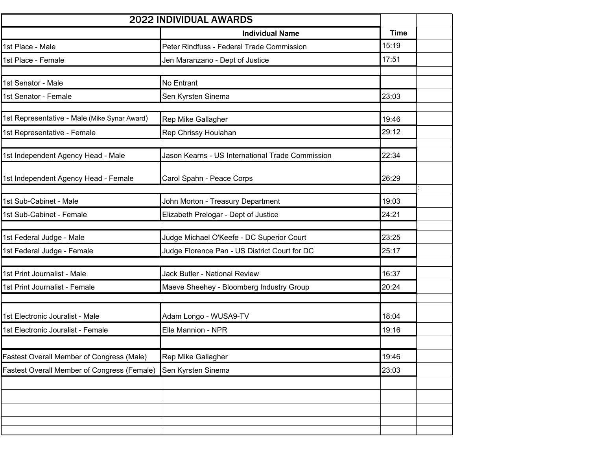| 2022 INDIVIDUAL AWARDS                       |                                                  |             |  |  |
|----------------------------------------------|--------------------------------------------------|-------------|--|--|
|                                              | <b>Individual Name</b>                           | <b>Time</b> |  |  |
| 1st Place - Male                             | Peter Rindfuss - Federal Trade Commission        | 15:19       |  |  |
| 1st Place - Female                           | Jen Maranzano - Dept of Justice                  | 17:51       |  |  |
|                                              |                                                  |             |  |  |
| 1st Senator - Male                           | No Entrant                                       |             |  |  |
| 1st Senator - Female                         | Sen Kyrsten Sinema                               | 23:03       |  |  |
| 1st Representative - Male (Mike Synar Award) | Rep Mike Gallagher                               | 19:46       |  |  |
| 1st Representative - Female                  | Rep Chrissy Houlahan                             | 29:12       |  |  |
|                                              |                                                  |             |  |  |
| 1st Independent Agency Head - Male           | Jason Kearns - US International Trade Commission | 22:34       |  |  |
| 1st Independent Agency Head - Female         | Carol Spahn - Peace Corps                        | 26:29       |  |  |
| 1st Sub-Cabinet - Male                       | John Morton - Treasury Department                | 19:03       |  |  |
| 1st Sub-Cabinet - Female                     | Elizabeth Prelogar - Dept of Justice             | 24:21       |  |  |
|                                              |                                                  |             |  |  |
| 1st Federal Judge - Male                     | Judge Michael O'Keefe - DC Superior Court        | 23:25       |  |  |
| 1st Federal Judge - Female                   | Judge Florence Pan - US District Court for DC    | 25:17       |  |  |
| 1st Print Journalist - Male                  | Jack Butler - National Review                    | 16:37       |  |  |
| 1st Print Journalist - Female                | Maeve Sheehey - Bloomberg Industry Group         | 20:24       |  |  |
|                                              |                                                  |             |  |  |
| 1st Electronic Jouralist - Male              | Adam Longo - WUSA9-TV                            | 18:04       |  |  |
| 1st Electronic Jouralist - Female            | Elle Mannion - NPR                               | 19:16       |  |  |
|                                              |                                                  |             |  |  |
| Fastest Overall Member of Congress (Male)    | Rep Mike Gallagher                               | 19:46       |  |  |
| Fastest Overall Member of Congress (Female)  | Sen Kyrsten Sinema                               | 23:03       |  |  |
|                                              |                                                  |             |  |  |
|                                              |                                                  |             |  |  |
|                                              |                                                  |             |  |  |
|                                              |                                                  |             |  |  |
|                                              |                                                  |             |  |  |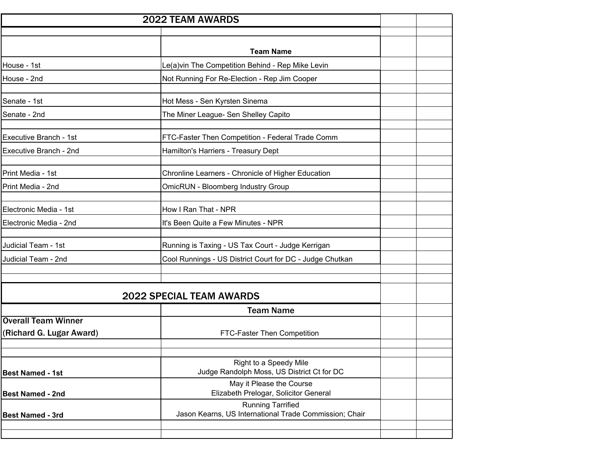| <b>2022 TEAM AWARDS</b>                                |                                                                                    |  |
|--------------------------------------------------------|------------------------------------------------------------------------------------|--|
|                                                        |                                                                                    |  |
|                                                        | <b>Team Name</b>                                                                   |  |
| House - 1st                                            | Le(a)vin The Competition Behind - Rep Mike Levin                                   |  |
| House - 2nd                                            | Not Running For Re-Election - Rep Jim Cooper                                       |  |
| Senate - 1st                                           | Hot Mess - Sen Kyrsten Sinema                                                      |  |
| Senate - 2nd                                           | The Miner League- Sen Shelley Capito                                               |  |
| Executive Branch - 1st                                 | FTC-Faster Then Competition - Federal Trade Comm                                   |  |
| Executive Branch - 2nd                                 | Hamilton's Harriers - Treasury Dept                                                |  |
| Print Media - 1st                                      | Chronline Learners - Chronicle of Higher Education                                 |  |
| Print Media - 2nd                                      | <b>OmicRUN - Bloomberg Industry Group</b>                                          |  |
| Electronic Media - 1st                                 | How I Ran That - NPR                                                               |  |
| Electronic Media - 2nd                                 | It's Been Quite a Few Minutes - NPR                                                |  |
| Judicial Team - 1st                                    | Running is Taxing - US Tax Court - Judge Kerrigan                                  |  |
| Judicial Team - 2nd                                    | Cool Runnings - US District Court for DC - Judge Chutkan                           |  |
|                                                        |                                                                                    |  |
|                                                        | <b>2022 SPECIAL TEAM AWARDS</b>                                                    |  |
|                                                        | <b>Team Name</b>                                                                   |  |
| <b>Overall Team Winner</b><br>(Richard G. Lugar Award) | FTC-Faster Then Competition                                                        |  |
|                                                        |                                                                                    |  |
| <b>Best Named - 1st</b>                                | Right to a Speedy Mile<br>Judge Randolph Moss, US District Ct for DC               |  |
| <b>Best Named - 2nd</b>                                | May it Please the Course<br>Elizabeth Prelogar, Solicitor General                  |  |
| <b>Best Named - 3rd</b>                                | <b>Running Tarrified</b><br>Jason Kearns, US International Trade Commission; Chair |  |
|                                                        |                                                                                    |  |
|                                                        |                                                                                    |  |